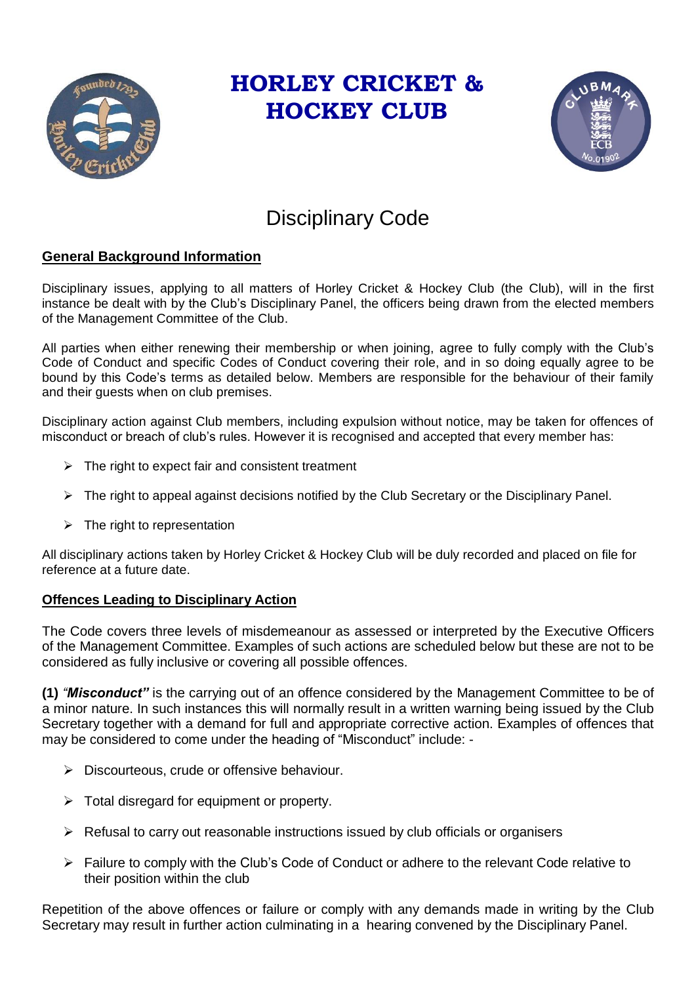

### **HORLEY CRICKET & HOCKEY CLUB**



### Disciplinary Code

### **General Background Information**

Disciplinary issues, applying to all matters of Horley Cricket & Hockey Club (the Club), will in the first instance be dealt with by the Club's Disciplinary Panel, the officers being drawn from the elected members of the Management Committee of the Club.

All parties when either renewing their membership or when joining, agree to fully comply with the Club's Code of Conduct and specific Codes of Conduct covering their role, and in so doing equally agree to be bound by this Code's terms as detailed below. Members are responsible for the behaviour of their family and their guests when on club premises.

Disciplinary action against Club members, including expulsion without notice, may be taken for offences of misconduct or breach of club's rules. However it is recognised and accepted that every member has:

- $\triangleright$  The right to expect fair and consistent treatment
- $\triangleright$  The right to appeal against decisions notified by the Club Secretary or the Disciplinary Panel.
- $\triangleright$  The right to representation

All disciplinary actions taken by Horley Cricket & Hockey Club will be duly recorded and placed on file for reference at a future date.

#### **Offences Leading to Disciplinary Action**

The Code covers three levels of misdemeanour as assessed or interpreted by the Executive Officers of the Management Committee. Examples of such actions are scheduled below but these are not to be considered as fully inclusive or covering all possible offences.

**(1)** *"Misconduct"* is the carrying out of an offence considered by the Management Committee to be of a minor nature. In such instances this will normally result in a written warning being issued by the Club Secretary together with a demand for full and appropriate corrective action. Examples of offences that may be considered to come under the heading of "Misconduct" include: -

- $\triangleright$  Discourteous, crude or offensive behaviour.
- $\triangleright$  Total disregard for equipment or property.
- $\triangleright$  Refusal to carry out reasonable instructions issued by club officials or organisers
- $\triangleright$  Failure to comply with the Club's Code of Conduct or adhere to the relevant Code relative to their position within the club

Repetition of the above offences or failure or comply with any demands made in writing by the Club Secretary may result in further action culminating in a hearing convened by the Disciplinary Panel.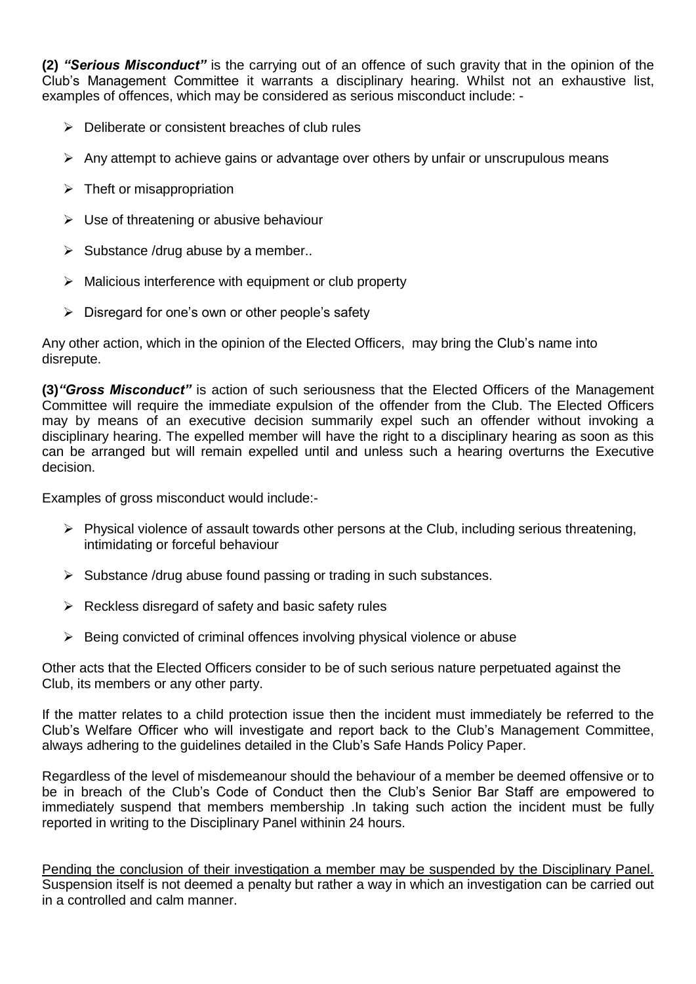**(2)** *"Serious Misconduct"* is the carrying out of an offence of such gravity that in the opinion of the Club's Management Committee it warrants a disciplinary hearing. Whilst not an exhaustive list, examples of offences, which may be considered as serious misconduct include: -

- $\triangleright$  Deliberate or consistent breaches of club rules
- $\triangleright$  Any attempt to achieve gains or advantage over others by unfair or unscrupulous means
- $\triangleright$  Theft or misappropriation
- $\triangleright$  Use of threatening or abusive behaviour
- $\triangleright$  Substance /drug abuse by a member..
- $\triangleright$  Malicious interference with equipment or club property
- $\triangleright$  Disregard for one's own or other people's safety

Any other action, which in the opinion of the Elected Officers, may bring the Club's name into disrepute.

**(3)***"Gross Misconduct"* is action of such seriousness that the Elected Officers of the Management Committee will require the immediate expulsion of the offender from the Club. The Elected Officers may by means of an executive decision summarily expel such an offender without invoking a disciplinary hearing. The expelled member will have the right to a disciplinary hearing as soon as this can be arranged but will remain expelled until and unless such a hearing overturns the Executive decision.

Examples of gross misconduct would include:-

- $\triangleright$  Physical violence of assault towards other persons at the Club, including serious threatening, intimidating or forceful behaviour
- $\triangleright$  Substance /drug abuse found passing or trading in such substances.
- $\triangleright$  Reckless disregard of safety and basic safety rules
- $\triangleright$  Being convicted of criminal offences involving physical violence or abuse

Other acts that the Elected Officers consider to be of such serious nature perpetuated against the Club, its members or any other party.

If the matter relates to a child protection issue then the incident must immediately be referred to the Club's Welfare Officer who will investigate and report back to the Club's Management Committee, always adhering to the guidelines detailed in the Club's Safe Hands Policy Paper.

Regardless of the level of misdemeanour should the behaviour of a member be deemed offensive or to be in breach of the Club's Code of Conduct then the Club's Senior Bar Staff are empowered to immediately suspend that members membership .In taking such action the incident must be fully reported in writing to the Disciplinary Panel withinin 24 hours.

Pending the conclusion of their investigation a member may be suspended by the Disciplinary Panel. Suspension itself is not deemed a penalty but rather a way in which an investigation can be carried out in a controlled and calm manner.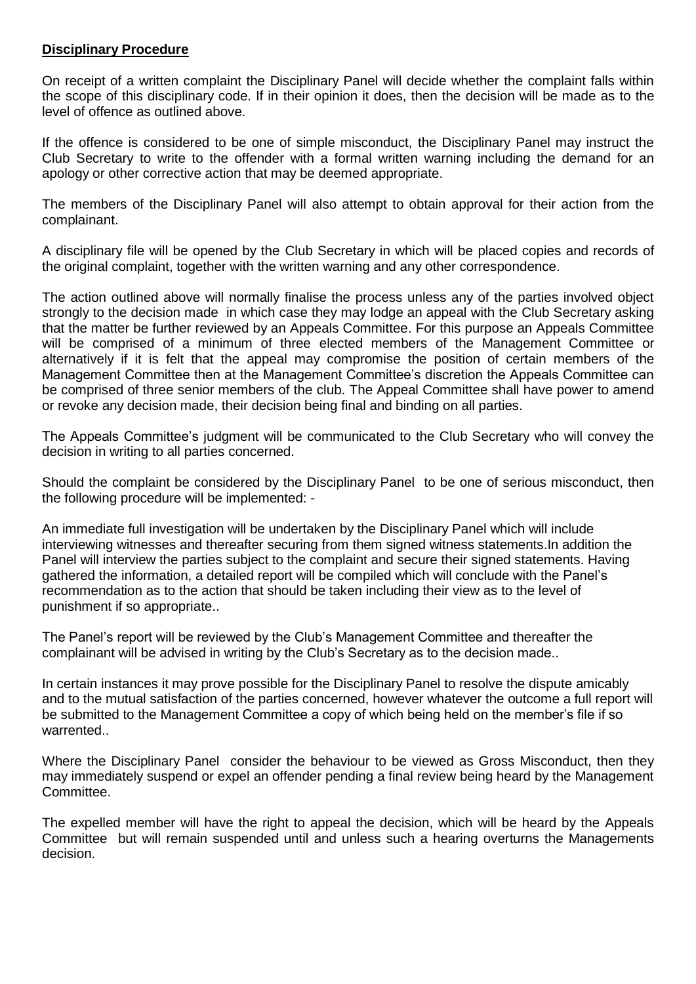#### **Disciplinary Procedure**

On receipt of a written complaint the Disciplinary Panel will decide whether the complaint falls within the scope of this disciplinary code. If in their opinion it does, then the decision will be made as to the level of offence as outlined above.

If the offence is considered to be one of simple misconduct, the Disciplinary Panel may instruct the Club Secretary to write to the offender with a formal written warning including the demand for an apology or other corrective action that may be deemed appropriate.

The members of the Disciplinary Panel will also attempt to obtain approval for their action from the complainant.

A disciplinary file will be opened by the Club Secretary in which will be placed copies and records of the original complaint, together with the written warning and any other correspondence.

The action outlined above will normally finalise the process unless any of the parties involved object strongly to the decision made in which case they may lodge an appeal with the Club Secretary asking that the matter be further reviewed by an Appeals Committee. For this purpose an Appeals Committee will be comprised of a minimum of three elected members of the Management Committee or alternatively if it is felt that the appeal may compromise the position of certain members of the Management Committee then at the Management Committee's discretion the Appeals Committee can be comprised of three senior members of the club. The Appeal Committee shall have power to amend or revoke any decision made, their decision being final and binding on all parties.

The Appeals Committee's judgment will be communicated to the Club Secretary who will convey the decision in writing to all parties concerned.

Should the complaint be considered by the Disciplinary Panel to be one of serious misconduct, then the following procedure will be implemented: -

An immediate full investigation will be undertaken by the Disciplinary Panel which will include interviewing witnesses and thereafter securing from them signed witness statements.In addition the Panel will interview the parties subject to the complaint and secure their signed statements. Having gathered the information, a detailed report will be compiled which will conclude with the Panel's recommendation as to the action that should be taken including their view as to the level of punishment if so appropriate..

The Panel's report will be reviewed by the Club's Management Committee and thereafter the complainant will be advised in writing by the Club's Secretary as to the decision made..

In certain instances it may prove possible for the Disciplinary Panel to resolve the dispute amicably and to the mutual satisfaction of the parties concerned, however whatever the outcome a full report will be submitted to the Management Committee a copy of which being held on the member's file if so warrented..

Where the Disciplinary Panel consider the behaviour to be viewed as Gross Misconduct, then they may immediately suspend or expel an offender pending a final review being heard by the Management Committee.

The expelled member will have the right to appeal the decision, which will be heard by the Appeals Committee but will remain suspended until and unless such a hearing overturns the Managements decision.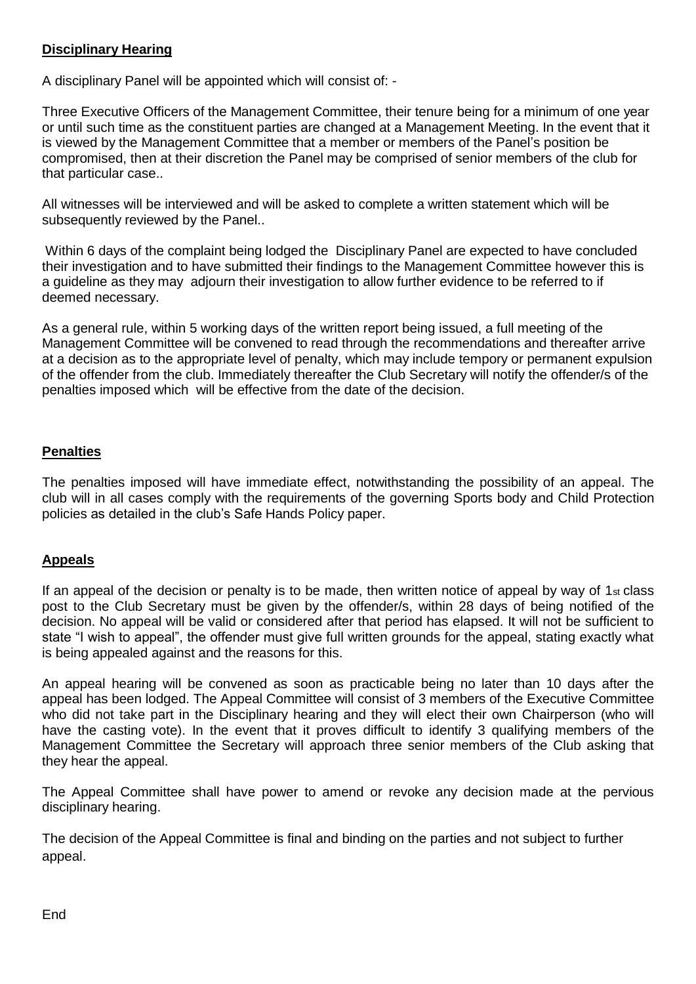#### **Disciplinary Hearing**

A disciplinary Panel will be appointed which will consist of: -

Three Executive Officers of the Management Committee, their tenure being for a minimum of one year or until such time as the constituent parties are changed at a Management Meeting. In the event that it is viewed by the Management Committee that a member or members of the Panel's position be compromised, then at their discretion the Panel may be comprised of senior members of the club for that particular case..

All witnesses will be interviewed and will be asked to complete a written statement which will be subsequently reviewed by the Panel..

Within 6 days of the complaint being lodged the Disciplinary Panel are expected to have concluded their investigation and to have submitted their findings to the Management Committee however this is a guideline as they may adjourn their investigation to allow further evidence to be referred to if deemed necessary.

As a general rule, within 5 working days of the written report being issued, a full meeting of the Management Committee will be convened to read through the recommendations and thereafter arrive at a decision as to the appropriate level of penalty, which may include tempory or permanent expulsion of the offender from the club. Immediately thereafter the Club Secretary will notify the offender/s of the penalties imposed which will be effective from the date of the decision.

#### **Penalties**

The penalties imposed will have immediate effect, notwithstanding the possibility of an appeal. The club will in all cases comply with the requirements of the governing Sports body and Child Protection policies as detailed in the club's Safe Hands Policy paper.

#### **Appeals**

If an appeal of the decision or penalty is to be made, then written notice of appeal by way of 1st class post to the Club Secretary must be given by the offender/s, within 28 days of being notified of the decision. No appeal will be valid or considered after that period has elapsed. It will not be sufficient to state "I wish to appeal", the offender must give full written grounds for the appeal, stating exactly what is being appealed against and the reasons for this.

An appeal hearing will be convened as soon as practicable being no later than 10 days after the appeal has been lodged. The Appeal Committee will consist of 3 members of the Executive Committee who did not take part in the Disciplinary hearing and they will elect their own Chairperson (who will have the casting vote). In the event that it proves difficult to identify 3 qualifying members of the Management Committee the Secretary will approach three senior members of the Club asking that they hear the appeal.

The Appeal Committee shall have power to amend or revoke any decision made at the pervious disciplinary hearing.

The decision of the Appeal Committee is final and binding on the parties and not subject to further appeal.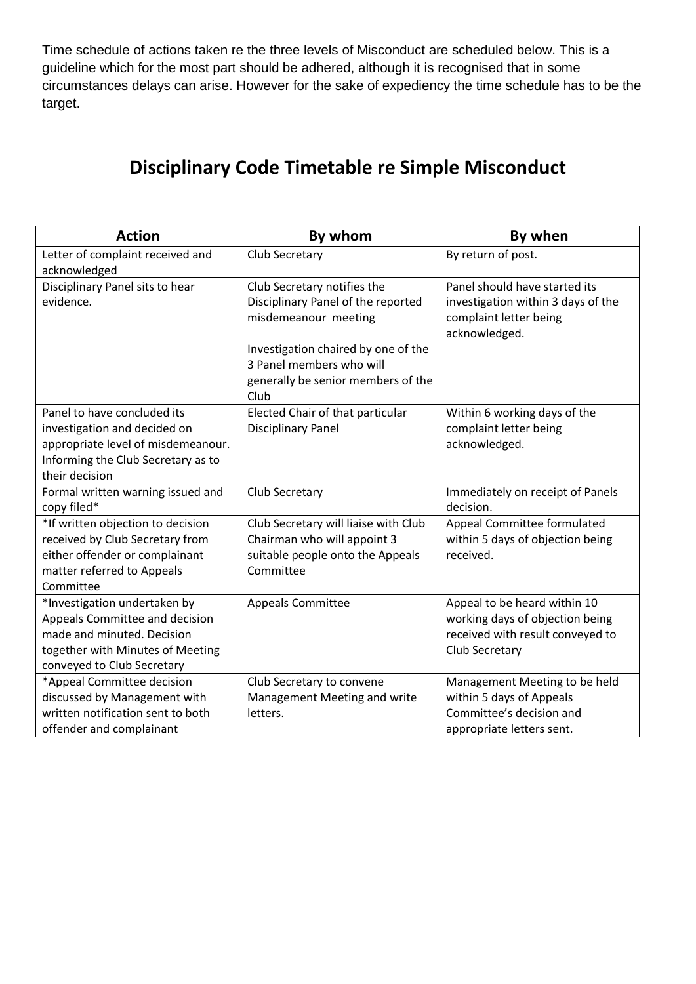Time schedule of actions taken re the three levels of Misconduct are scheduled below. This is a guideline which for the most part should be adhered, although it is recognised that in some circumstances delays can arise. However for the sake of expediency the time schedule has to be the target.

### **Disciplinary Code Timetable re Simple Misconduct**

| <b>Action</b>                      | By whom                                                         | By when                            |
|------------------------------------|-----------------------------------------------------------------|------------------------------------|
| Letter of complaint received and   | Club Secretary                                                  | By return of post.                 |
| acknowledged                       |                                                                 |                                    |
| Disciplinary Panel sits to hear    | Club Secretary notifies the                                     | Panel should have started its      |
| evidence.                          | Disciplinary Panel of the reported                              | investigation within 3 days of the |
|                                    | misdemeanour meeting                                            | complaint letter being             |
|                                    |                                                                 | acknowledged.                      |
|                                    | Investigation chaired by one of the<br>3 Panel members who will |                                    |
|                                    | generally be senior members of the                              |                                    |
|                                    | Club                                                            |                                    |
| Panel to have concluded its        | Elected Chair of that particular                                | Within 6 working days of the       |
| investigation and decided on       | <b>Disciplinary Panel</b>                                       | complaint letter being             |
| appropriate level of misdemeanour. |                                                                 | acknowledged.                      |
| Informing the Club Secretary as to |                                                                 |                                    |
| their decision                     |                                                                 |                                    |
| Formal written warning issued and  | Club Secretary                                                  | Immediately on receipt of Panels   |
| copy filed*                        |                                                                 | decision.                          |
| *If written objection to decision  | Club Secretary will liaise with Club                            | Appeal Committee formulated        |
| received by Club Secretary from    | Chairman who will appoint 3                                     | within 5 days of objection being   |
| either offender or complainant     | suitable people onto the Appeals                                | received.                          |
| matter referred to Appeals         | Committee                                                       |                                    |
| Committee                          |                                                                 |                                    |
| *Investigation undertaken by       | <b>Appeals Committee</b>                                        | Appeal to be heard within 10       |
| Appeals Committee and decision     |                                                                 | working days of objection being    |
| made and minuted. Decision         |                                                                 | received with result conveyed to   |
| together with Minutes of Meeting   |                                                                 | Club Secretary                     |
| conveyed to Club Secretary         |                                                                 |                                    |
| *Appeal Committee decision         | Club Secretary to convene                                       | Management Meeting to be held      |
| discussed by Management with       | Management Meeting and write                                    | within 5 days of Appeals           |
| written notification sent to both  | letters.                                                        | Committee's decision and           |
| offender and complainant           |                                                                 | appropriate letters sent.          |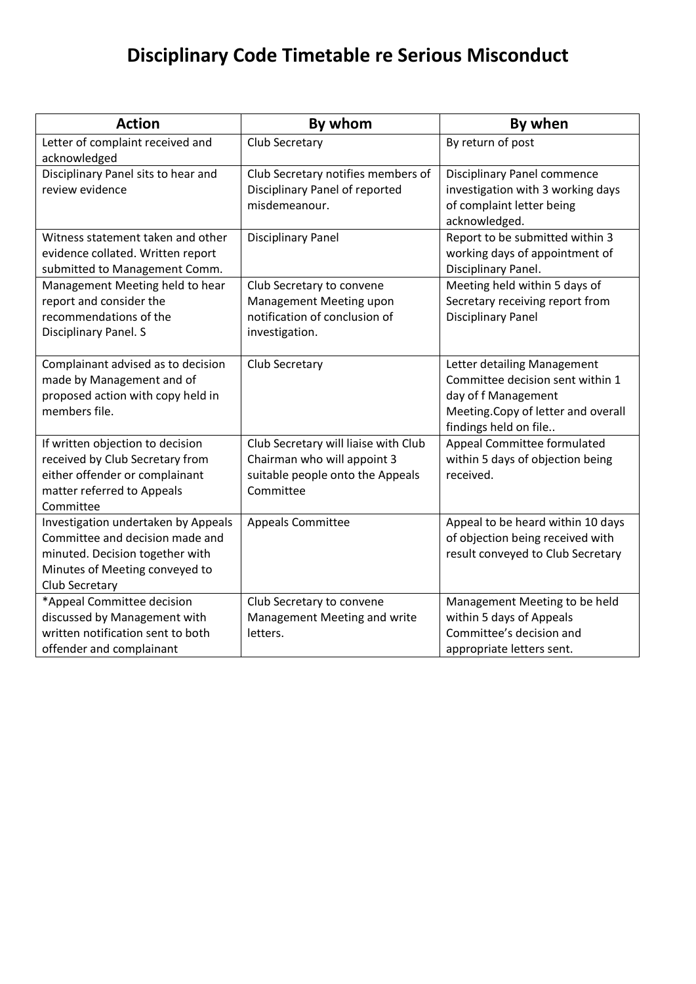## **Disciplinary Code Timetable re Serious Misconduct**

| <b>Action</b>                                                                                                                                                 | By whom                                                                                                              | By when                                                                                                                                               |
|---------------------------------------------------------------------------------------------------------------------------------------------------------------|----------------------------------------------------------------------------------------------------------------------|-------------------------------------------------------------------------------------------------------------------------------------------------------|
| Letter of complaint received and<br>acknowledged                                                                                                              | Club Secretary                                                                                                       | By return of post                                                                                                                                     |
| Disciplinary Panel sits to hear and<br>review evidence                                                                                                        | Club Secretary notifies members of<br>Disciplinary Panel of reported<br>misdemeanour.                                | Disciplinary Panel commence<br>investigation with 3 working days<br>of complaint letter being<br>acknowledged.                                        |
| Witness statement taken and other<br>evidence collated. Written report<br>submitted to Management Comm.                                                       | <b>Disciplinary Panel</b>                                                                                            | Report to be submitted within 3<br>working days of appointment of<br>Disciplinary Panel.                                                              |
| Management Meeting held to hear<br>report and consider the<br>recommendations of the<br>Disciplinary Panel. S                                                 | Club Secretary to convene<br>Management Meeting upon<br>notification of conclusion of<br>investigation.              | Meeting held within 5 days of<br>Secretary receiving report from<br><b>Disciplinary Panel</b>                                                         |
| Complainant advised as to decision<br>made by Management and of<br>proposed action with copy held in<br>members file.                                         | Club Secretary                                                                                                       | Letter detailing Management<br>Committee decision sent within 1<br>day of f Management<br>Meeting.Copy of letter and overall<br>findings held on file |
| If written objection to decision<br>received by Club Secretary from<br>either offender or complainant<br>matter referred to Appeals<br>Committee              | Club Secretary will liaise with Club<br>Chairman who will appoint 3<br>suitable people onto the Appeals<br>Committee | Appeal Committee formulated<br>within 5 days of objection being<br>received.                                                                          |
| Investigation undertaken by Appeals<br>Committee and decision made and<br>minuted. Decision together with<br>Minutes of Meeting conveyed to<br>Club Secretary | <b>Appeals Committee</b>                                                                                             | Appeal to be heard within 10 days<br>of objection being received with<br>result conveyed to Club Secretary                                            |
| *Appeal Committee decision<br>discussed by Management with<br>written notification sent to both<br>offender and complainant                                   | Club Secretary to convene<br>Management Meeting and write<br>letters.                                                | Management Meeting to be held<br>within 5 days of Appeals<br>Committee's decision and<br>appropriate letters sent.                                    |